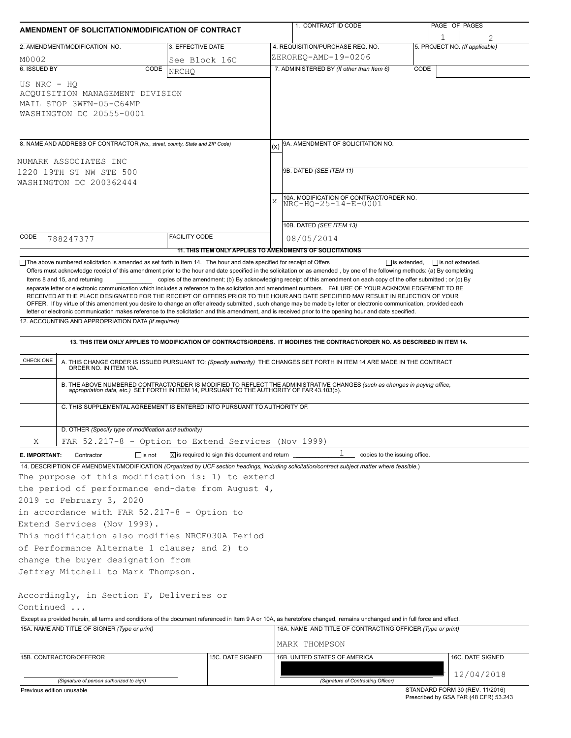| AMENDMENT OF SOLICITATION/MODIFICATION OF CONTRACT                                                                                                         |                                                                                                                                                  |                                                                            |     | 1. CONTRACT ID CODE                                                                                                                                                                                                                                                                                                                                                                                                                                                                                                                                                                                                           |      | PAGE OF PAGES                   |  |  |  |  |  |
|------------------------------------------------------------------------------------------------------------------------------------------------------------|--------------------------------------------------------------------------------------------------------------------------------------------------|----------------------------------------------------------------------------|-----|-------------------------------------------------------------------------------------------------------------------------------------------------------------------------------------------------------------------------------------------------------------------------------------------------------------------------------------------------------------------------------------------------------------------------------------------------------------------------------------------------------------------------------------------------------------------------------------------------------------------------------|------|---------------------------------|--|--|--|--|--|
|                                                                                                                                                            | 2. AMENDMENT/MODIFICATION NO.                                                                                                                    | 3. EFFECTIVE DATE                                                          |     | 4. REQUISITION/PURCHASE REQ. NO.                                                                                                                                                                                                                                                                                                                                                                                                                                                                                                                                                                                              |      | 5. PROJECT NO. (If applicable)  |  |  |  |  |  |
| M0002                                                                                                                                                      |                                                                                                                                                  | See Block 16C                                                              |     | ZEROREQ-AMD-19-0206                                                                                                                                                                                                                                                                                                                                                                                                                                                                                                                                                                                                           |      |                                 |  |  |  |  |  |
| 6. ISSUED BY                                                                                                                                               | CODE                                                                                                                                             | <b>NRCHO</b>                                                               |     | 7. ADMINISTERED BY (If other than Item 6)                                                                                                                                                                                                                                                                                                                                                                                                                                                                                                                                                                                     | CODE |                                 |  |  |  |  |  |
| US NRC - HO                                                                                                                                                | ACQUISITION MANAGEMENT DIVISION<br>MAIL STOP 3WFN-05-C64MP<br>WASHINGTON DC 20555-0001                                                           |                                                                            |     |                                                                                                                                                                                                                                                                                                                                                                                                                                                                                                                                                                                                                               |      |                                 |  |  |  |  |  |
|                                                                                                                                                            |                                                                                                                                                  |                                                                            | (x) | 9A. AMENDMENT OF SOLICITATION NO.                                                                                                                                                                                                                                                                                                                                                                                                                                                                                                                                                                                             |      |                                 |  |  |  |  |  |
| 8. NAME AND ADDRESS OF CONTRACTOR (No., street, county, State and ZIP Code)<br>NUMARK ASSOCIATES INC<br>1220 19TH ST NW STE 500<br>WASHINGTON DC 200362444 |                                                                                                                                                  |                                                                            |     |                                                                                                                                                                                                                                                                                                                                                                                                                                                                                                                                                                                                                               |      |                                 |  |  |  |  |  |
|                                                                                                                                                            |                                                                                                                                                  |                                                                            |     | 9B. DATED (SEE ITEM 11)                                                                                                                                                                                                                                                                                                                                                                                                                                                                                                                                                                                                       |      |                                 |  |  |  |  |  |
|                                                                                                                                                            |                                                                                                                                                  |                                                                            | X   | 10A. MODIFICATION OF CONTRACT/ORDER NO.<br>NRC-HQ-25-14-E-0001                                                                                                                                                                                                                                                                                                                                                                                                                                                                                                                                                                |      |                                 |  |  |  |  |  |
|                                                                                                                                                            |                                                                                                                                                  |                                                                            |     | 10B. DATED (SEE ITEM 13)                                                                                                                                                                                                                                                                                                                                                                                                                                                                                                                                                                                                      |      |                                 |  |  |  |  |  |
| CODE                                                                                                                                                       | 788247377                                                                                                                                        | <b>FACILITY CODE</b>                                                       |     | 08/05/2014                                                                                                                                                                                                                                                                                                                                                                                                                                                                                                                                                                                                                    |      |                                 |  |  |  |  |  |
|                                                                                                                                                            |                                                                                                                                                  | 11. THIS ITEM ONLY APPLIES TO AMENDMENTS OF SOLICITATIONS                  |     |                                                                                                                                                                                                                                                                                                                                                                                                                                                                                                                                                                                                                               |      |                                 |  |  |  |  |  |
|                                                                                                                                                            | 12. ACCOUNTING AND APPROPRIATION DATA (If required)                                                                                              |                                                                            |     | separate letter or electronic communication which includes a reference to the solicitation and amendment numbers. FAILURE OF YOUR ACKNOWLEDGEMENT TO BE<br>RECEIVED AT THE PLACE DESIGNATED FOR THE RECEIPT OF OFFERS PRIOR TO THE HOUR AND DATE SPECIFIED MAY RESULT IN REJECTION OF YOUR<br>OFFER. If by virtue of this amendment you desire to change an offer already submitted, such change may be made by letter or electronic communication, provided each<br>letter or electronic communication makes reference to the solicitation and this amendment, and is received prior to the opening hour and date specified. |      |                                 |  |  |  |  |  |
|                                                                                                                                                            |                                                                                                                                                  |                                                                            |     | 13. THIS ITEM ONLY APPLIES TO MODIFICATION OF CONTRACTS/ORDERS. IT MODIFIES THE CONTRACT/ORDER NO. AS DESCRIBED IN ITEM 14.                                                                                                                                                                                                                                                                                                                                                                                                                                                                                                   |      |                                 |  |  |  |  |  |
| CHECK ONE                                                                                                                                                  | A. THIS CHANGE ORDER IS ISSUED PURSUANT TO: (Specify authority) THE CHANGES SET FORTH IN ITEM 14 ARE MADE IN THE CONTRACT ORDER NO. IN ITEM 10A. |                                                                            |     |                                                                                                                                                                                                                                                                                                                                                                                                                                                                                                                                                                                                                               |      |                                 |  |  |  |  |  |
|                                                                                                                                                            | C. THIS SUPPLEMENTAL AGREEMENT IS ENTERED INTO PURSUANT TO AUTHORITY OF:                                                                         |                                                                            |     | B. THE ABOVE NUMBERED CONTRACT/ORDER IS MODIFIED TO REFLECT THE ADMINISTRATIVE CHANGES (such as changes in paying office,<br>appropriation data, etc.) SET FORTH IN ITEM 14, PURSUANT TO THE AUTHORITY OF FAR 43.103(b).                                                                                                                                                                                                                                                                                                                                                                                                      |      |                                 |  |  |  |  |  |
|                                                                                                                                                            |                                                                                                                                                  |                                                                            |     |                                                                                                                                                                                                                                                                                                                                                                                                                                                                                                                                                                                                                               |      |                                 |  |  |  |  |  |
|                                                                                                                                                            | D. OTHER (Specify type of modification and authority)                                                                                            |                                                                            |     |                                                                                                                                                                                                                                                                                                                                                                                                                                                                                                                                                                                                                               |      |                                 |  |  |  |  |  |
| Χ                                                                                                                                                          | FAR 52.217-8 - Option to Extend Services (Nov 1999)                                                                                              |                                                                            |     |                                                                                                                                                                                                                                                                                                                                                                                                                                                                                                                                                                                                                               |      |                                 |  |  |  |  |  |
| E. IMPORTANT:                                                                                                                                              | $\Box$ is not<br>Contractor                                                                                                                      | $\overline{X}$ is required to sign this document and return $\overline{X}$ |     | ı<br>copies to the issuing office.                                                                                                                                                                                                                                                                                                                                                                                                                                                                                                                                                                                            |      |                                 |  |  |  |  |  |
|                                                                                                                                                            | The purpose of this modification is: 1) to extend<br>the period of performance end-date from August 4,<br>2019 to February 3, 2020               |                                                                            |     | 14. DESCRIPTION OF AMENDMENT/MODIFICATION (Organized by UCF section headings, including solicitation/contract subject matter where feasible.)                                                                                                                                                                                                                                                                                                                                                                                                                                                                                 |      |                                 |  |  |  |  |  |
|                                                                                                                                                            | in accordance with FAR 52.217-8 - Option to                                                                                                      |                                                                            |     |                                                                                                                                                                                                                                                                                                                                                                                                                                                                                                                                                                                                                               |      |                                 |  |  |  |  |  |
|                                                                                                                                                            | Extend Services (Nov 1999).<br>This modification also modifies NRCF030A Period                                                                   |                                                                            |     |                                                                                                                                                                                                                                                                                                                                                                                                                                                                                                                                                                                                                               |      |                                 |  |  |  |  |  |
|                                                                                                                                                            | of Performance Alternate 1 clause; and 2) to                                                                                                     |                                                                            |     |                                                                                                                                                                                                                                                                                                                                                                                                                                                                                                                                                                                                                               |      |                                 |  |  |  |  |  |
|                                                                                                                                                            | change the buyer designation from                                                                                                                |                                                                            |     |                                                                                                                                                                                                                                                                                                                                                                                                                                                                                                                                                                                                                               |      |                                 |  |  |  |  |  |
|                                                                                                                                                            | Jeffrey Mitchell to Mark Thompson.                                                                                                               |                                                                            |     |                                                                                                                                                                                                                                                                                                                                                                                                                                                                                                                                                                                                                               |      |                                 |  |  |  |  |  |
| Continued                                                                                                                                                  | Accordingly, in Section F, Deliveries or                                                                                                         |                                                                            |     |                                                                                                                                                                                                                                                                                                                                                                                                                                                                                                                                                                                                                               |      |                                 |  |  |  |  |  |
|                                                                                                                                                            | 15A. NAME AND TITLE OF SIGNER (Type or print)                                                                                                    |                                                                            |     | Except as provided herein, all terms and conditions of the document referenced in Item 9 A or 10A, as heretofore changed, remains unchanged and in full force and effect.<br>16A. NAME AND TITLE OF CONTRACTING OFFICER (Type or print)                                                                                                                                                                                                                                                                                                                                                                                       |      |                                 |  |  |  |  |  |
|                                                                                                                                                            |                                                                                                                                                  |                                                                            |     | MARK THOMPSON                                                                                                                                                                                                                                                                                                                                                                                                                                                                                                                                                                                                                 |      |                                 |  |  |  |  |  |
|                                                                                                                                                            | 15B. CONTRACTOR/OFFEROR                                                                                                                          | 15C. DATE SIGNED                                                           |     | 16B. UNITED STATES OF AMERICA                                                                                                                                                                                                                                                                                                                                                                                                                                                                                                                                                                                                 |      | 16C. DATE SIGNED                |  |  |  |  |  |
|                                                                                                                                                            | (Signature of person authorized to sign)                                                                                                         |                                                                            |     | (Signature of Contracting Officer)                                                                                                                                                                                                                                                                                                                                                                                                                                                                                                                                                                                            |      | 12/04/2018                      |  |  |  |  |  |
| Previous edition unusable                                                                                                                                  |                                                                                                                                                  |                                                                            |     |                                                                                                                                                                                                                                                                                                                                                                                                                                                                                                                                                                                                                               |      | STANDARD FORM 30 (REV. 11/2016) |  |  |  |  |  |

STANDARD FORM 30 (REV. 11/2016) Prescribed by GSA FAR (48 CFR) 53.243